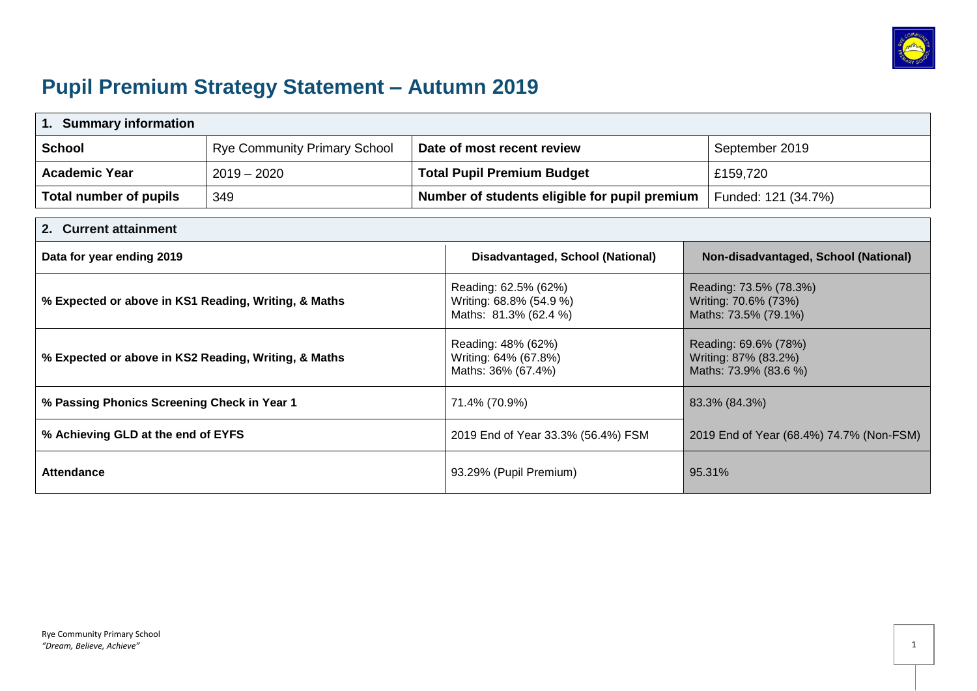

# **Pupil Premium Strategy Statement – Autumn 2019**

| <b>Summary information</b><br>1.                     |                                     |                                                                          |                                               |                                                                        |                                      |
|------------------------------------------------------|-------------------------------------|--------------------------------------------------------------------------|-----------------------------------------------|------------------------------------------------------------------------|--------------------------------------|
| <b>School</b>                                        | <b>Rye Community Primary School</b> |                                                                          | Date of most recent review                    |                                                                        | September 2019                       |
| <b>Academic Year</b>                                 | $2019 - 2020$                       |                                                                          | <b>Total Pupil Premium Budget</b>             |                                                                        | £159,720                             |
| Total number of pupils                               | 349                                 |                                                                          | Number of students eligible for pupil premium |                                                                        | Funded: 121 (34.7%)                  |
| <b>Current attainment</b><br>2.                      |                                     |                                                                          |                                               |                                                                        |                                      |
| Data for year ending 2019                            |                                     |                                                                          | Disadvantaged, School (National)              |                                                                        | Non-disadvantaged, School (National) |
| % Expected or above in KS1 Reading, Writing, & Maths |                                     | Reading: 62.5% (62%)<br>Writing: 68.8% (54.9 %)<br>Maths: 81.3% (62.4 %) |                                               | Reading: 73.5% (78.3%)<br>Writing: 70.6% (73%)<br>Maths: 73.5% (79.1%) |                                      |
| % Expected or above in KS2 Reading, Writing, & Maths |                                     | Reading: 48% (62%)<br>Writing: 64% (67.8%)<br>Maths: 36% (67.4%)         |                                               | Reading: 69.6% (78%)<br>Writing: 87% (83.2%)<br>Maths: 73.9% (83.6 %)  |                                      |
| % Passing Phonics Screening Check in Year 1          |                                     |                                                                          | 71.4% (70.9%)                                 | 83.3% (84.3%)                                                          |                                      |
| % Achieving GLD at the end of EYFS                   |                                     | 2019 End of Year 33.3% (56.4%) FSM                                       |                                               | 2019 End of Year (68.4%) 74.7% (Non-FSM)                               |                                      |
| <b>Attendance</b>                                    |                                     |                                                                          | 93.29% (Pupil Premium)                        |                                                                        | 95.31%                               |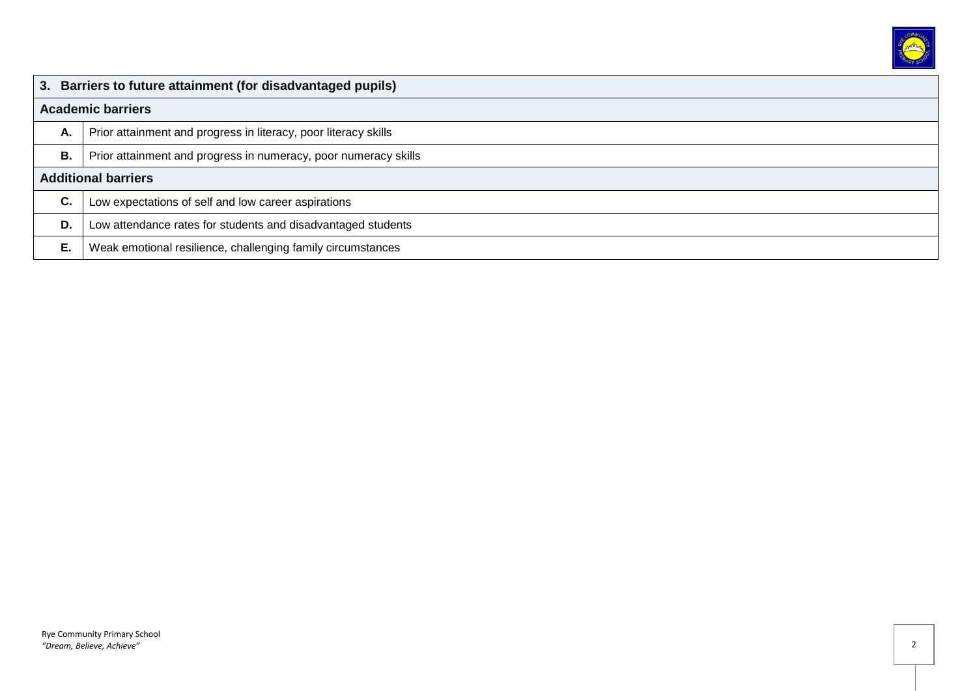

|    | 3. Barriers to future attainment (for disadvantaged pupils)     |  |  |  |
|----|-----------------------------------------------------------------|--|--|--|
|    | <b>Academic barriers</b>                                        |  |  |  |
| Α. | Prior attainment and progress in literacy, poor literacy skills |  |  |  |
| Β. | Prior attainment and progress in numeracy, poor numeracy skills |  |  |  |
|    | <b>Additional barriers</b>                                      |  |  |  |
| C. | Low expectations of self and low career aspirations             |  |  |  |
| D. | Low attendance rates for students and disadvantaged students    |  |  |  |
| Е. | Weak emotional resilience, challenging family circumstances     |  |  |  |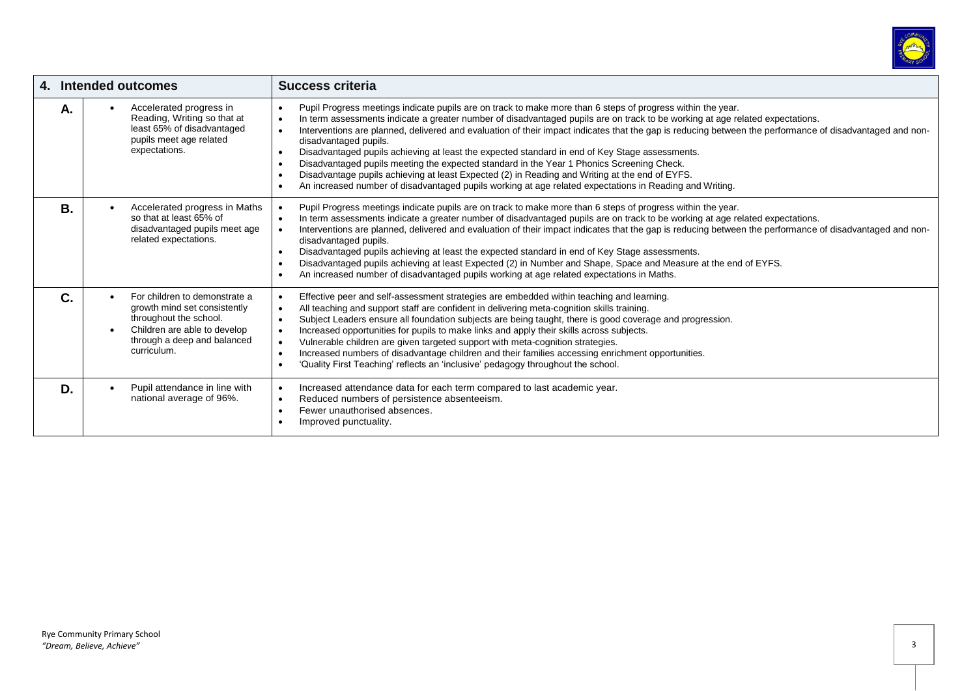

|    | 4. Intended outcomes                                                                                                                                                               | <b>Success criteria</b>                                                                                                                                                                                                                                                                                                                                                                                                                                                                                                                                                                                                                                                                                                                                                                                                                                                                                                                  |
|----|------------------------------------------------------------------------------------------------------------------------------------------------------------------------------------|------------------------------------------------------------------------------------------------------------------------------------------------------------------------------------------------------------------------------------------------------------------------------------------------------------------------------------------------------------------------------------------------------------------------------------------------------------------------------------------------------------------------------------------------------------------------------------------------------------------------------------------------------------------------------------------------------------------------------------------------------------------------------------------------------------------------------------------------------------------------------------------------------------------------------------------|
| Α. | Accelerated progress in<br>$\bullet$<br>Reading, Writing so that at<br>least 65% of disadvantaged<br>pupils meet age related<br>expectations.                                      | Pupil Progress meetings indicate pupils are on track to make more than 6 steps of progress within the year.<br>$\bullet$<br>In term assessments indicate a greater number of disadvantaged pupils are on track to be working at age related expectations.<br>$\bullet$<br>Interventions are planned, delivered and evaluation of their impact indicates that the gap is reducing between the performance of disadvantaged and non-<br>$\bullet$<br>disadvantaged pupils.<br>Disadvantaged pupils achieving at least the expected standard in end of Key Stage assessments.<br>$\bullet$<br>Disadvantaged pupils meeting the expected standard in the Year 1 Phonics Screening Check.<br>$\bullet$<br>Disadvantage pupils achieving at least Expected (2) in Reading and Writing at the end of EYFS.<br>$\bullet$<br>An increased number of disadvantaged pupils working at age related expectations in Reading and Writing.<br>$\bullet$ |
| Β. | Accelerated progress in Maths<br>so that at least 65% of<br>disadvantaged pupils meet age<br>related expectations.                                                                 | Pupil Progress meetings indicate pupils are on track to make more than 6 steps of progress within the year.<br>$\bullet$<br>In term assessments indicate a greater number of disadvantaged pupils are on track to be working at age related expectations.<br>$\bullet$<br>Interventions are planned, delivered and evaluation of their impact indicates that the gap is reducing between the performance of disadvantaged and non-<br>$\bullet$<br>disadvantaged pupils.<br>Disadvantaged pupils achieving at least the expected standard in end of Key Stage assessments.<br>$\bullet$<br>Disadvantaged pupils achieving at least Expected (2) in Number and Shape, Space and Measure at the end of EYFS.<br>$\bullet$<br>An increased number of disadvantaged pupils working at age related expectations in Maths.<br>$\bullet$                                                                                                        |
| C. | For children to demonstrate a<br>growth mind set consistently<br>throughout the school.<br>Children are able to develop<br>$\bullet$<br>through a deep and balanced<br>curriculum. | Effective peer and self-assessment strategies are embedded within teaching and learning.<br>$\bullet$<br>All teaching and support staff are confident in delivering meta-cognition skills training.<br>$\bullet$<br>Subject Leaders ensure all foundation subjects are being taught, there is good coverage and progression.<br>$\bullet$<br>Increased opportunities for pupils to make links and apply their skills across subjects.<br>$\bullet$<br>Vulnerable children are given targeted support with meta-cognition strategies.<br>$\bullet$<br>Increased numbers of disadvantage children and their families accessing enrichment opportunities.<br>$\bullet$<br>'Quality First Teaching' reflects an 'inclusive' pedagogy throughout the school.<br>$\bullet$                                                                                                                                                                     |
| D. | Pupil attendance in line with<br>$\bullet$<br>national average of 96%.                                                                                                             | Increased attendance data for each term compared to last academic year.<br>$\bullet$<br>Reduced numbers of persistence absenteeism.<br>$\bullet$<br>Fewer unauthorised absences.<br>$\bullet$<br>Improved punctuality.                                                                                                                                                                                                                                                                                                                                                                                                                                                                                                                                                                                                                                                                                                                   |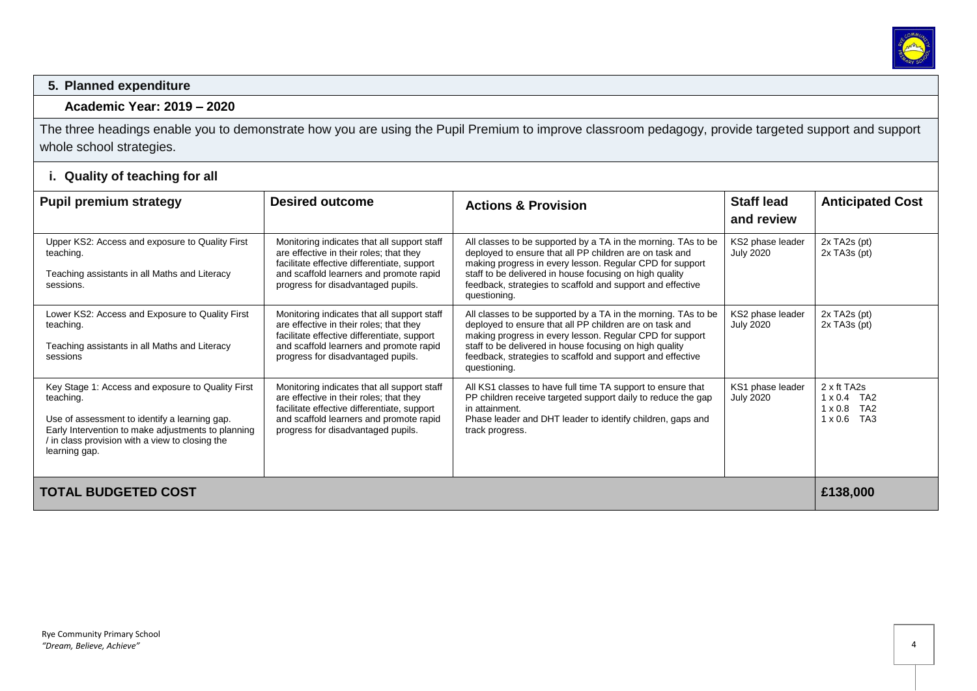

#### **5. Planned expenditure**

#### **Academic Year: 2019 – 2020**

The three headings enable you to demonstrate how you are using the Pupil Premium to improve classroom pedagogy, provide targeted support and support whole school strategies.

# **i. Quality of teaching for all**

| <b>Pupil premium strategy</b>                                                                                                                                                                                                             | <b>Desired outcome</b>                                                                                                                                                                                                 | <b>Actions &amp; Provision</b>                                                                                                                                                                                                                                                                                                | <b>Staff lead</b><br>and review      | <b>Anticipated Cost</b>                                                          |
|-------------------------------------------------------------------------------------------------------------------------------------------------------------------------------------------------------------------------------------------|------------------------------------------------------------------------------------------------------------------------------------------------------------------------------------------------------------------------|-------------------------------------------------------------------------------------------------------------------------------------------------------------------------------------------------------------------------------------------------------------------------------------------------------------------------------|--------------------------------------|----------------------------------------------------------------------------------|
| Upper KS2: Access and exposure to Quality First<br>teaching.<br>Teaching assistants in all Maths and Literacy<br>sessions.                                                                                                                | Monitoring indicates that all support staff<br>are effective in their roles; that they<br>facilitate effective differentiate, support<br>and scaffold learners and promote rapid<br>progress for disadvantaged pupils. | All classes to be supported by a TA in the morning. TAs to be<br>deployed to ensure that all PP children are on task and<br>making progress in every lesson. Regular CPD for support<br>staff to be delivered in house focusing on high quality<br>feedback, strategies to scaffold and support and effective<br>questioning. | KS2 phase leader<br><b>July 2020</b> | $2x$ TA <sub>2s</sub> (pt)<br>2x TA3s (pt)                                       |
| Lower KS2: Access and Exposure to Quality First<br>teaching.<br>Teaching assistants in all Maths and Literacy<br>sessions                                                                                                                 | Monitoring indicates that all support staff<br>are effective in their roles; that they<br>facilitate effective differentiate, support<br>and scaffold learners and promote rapid<br>progress for disadvantaged pupils. | All classes to be supported by a TA in the morning. TAs to be<br>deployed to ensure that all PP children are on task and<br>making progress in every lesson. Regular CPD for support<br>staff to be delivered in house focusing on high quality<br>feedback, strategies to scaffold and support and effective<br>questioning. | KS2 phase leader<br><b>July 2020</b> | $2x$ TA <sub>2s</sub> (pt)<br>2x TA3s (pt)                                       |
| Key Stage 1: Access and exposure to Quality First<br>teaching.<br>Use of assessment to identify a learning gap.<br>Early Intervention to make adjustments to planning<br>/ in class provision with a view to closing the<br>learning gap. | Monitoring indicates that all support staff<br>are effective in their roles; that they<br>facilitate effective differentiate, support<br>and scaffold learners and promote rapid<br>progress for disadvantaged pupils. | All KS1 classes to have full time TA support to ensure that<br>PP children receive targeted support daily to reduce the gap<br>in attainment.<br>Phase leader and DHT leader to identify children, gaps and<br>track progress.                                                                                                | KS1 phase leader<br><b>July 2020</b> | 2 x ft TA2s<br>$1 \times 0.4$ TA2<br>$1 \times 0.8$ TA2<br>TA3<br>$1 \times 0.6$ |
| <b>TOTAL BUDGETED COST</b>                                                                                                                                                                                                                |                                                                                                                                                                                                                        |                                                                                                                                                                                                                                                                                                                               |                                      | £138,000                                                                         |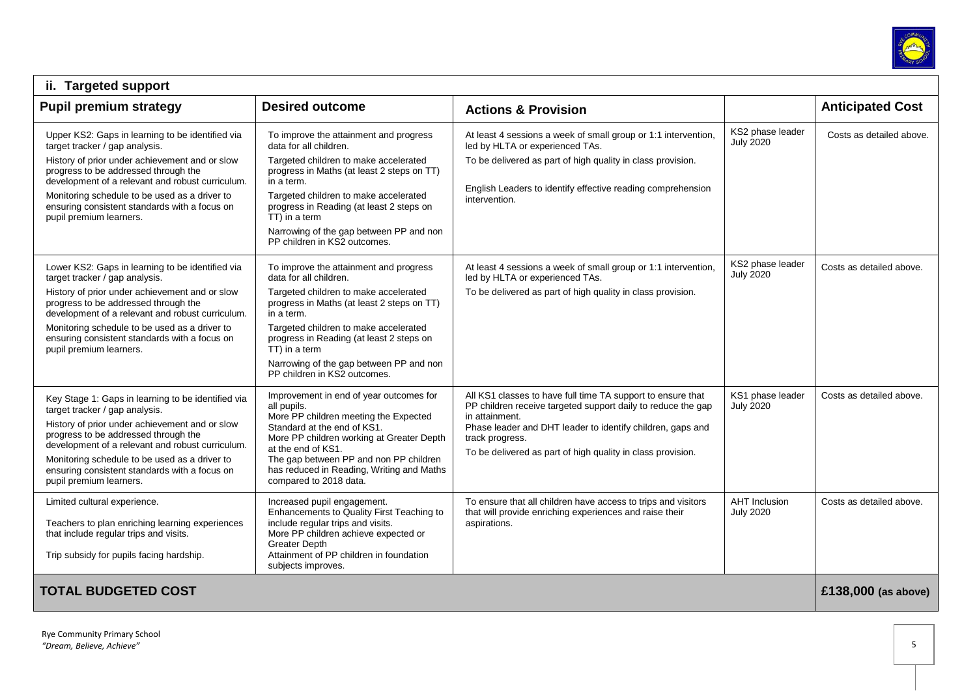

| ii. Targeted support                                                                                                                                                                                                                                                                                                                                            |                                                                                                                                                                                                                                                                                                                                                        |                                                                                                                                                                                                                                                                                               |                                          |                          |  |
|-----------------------------------------------------------------------------------------------------------------------------------------------------------------------------------------------------------------------------------------------------------------------------------------------------------------------------------------------------------------|--------------------------------------------------------------------------------------------------------------------------------------------------------------------------------------------------------------------------------------------------------------------------------------------------------------------------------------------------------|-----------------------------------------------------------------------------------------------------------------------------------------------------------------------------------------------------------------------------------------------------------------------------------------------|------------------------------------------|--------------------------|--|
| <b>Pupil premium strategy</b>                                                                                                                                                                                                                                                                                                                                   | <b>Desired outcome</b>                                                                                                                                                                                                                                                                                                                                 | <b>Actions &amp; Provision</b>                                                                                                                                                                                                                                                                |                                          | <b>Anticipated Cost</b>  |  |
| Upper KS2: Gaps in learning to be identified via<br>target tracker / gap analysis.<br>History of prior under achievement and or slow<br>progress to be addressed through the<br>development of a relevant and robust curriculum.<br>Monitoring schedule to be used as a driver to<br>ensuring consistent standards with a focus on<br>pupil premium learners.   | To improve the attainment and progress<br>data for all children.<br>Targeted children to make accelerated<br>progress in Maths (at least 2 steps on TT)<br>in a term.<br>Targeted children to make accelerated<br>progress in Reading (at least 2 steps on<br>TT) in a term<br>Narrowing of the gap between PP and non<br>PP children in KS2 outcomes. | At least 4 sessions a week of small group or 1:1 intervention,<br>led by HLTA or experienced TAs.<br>To be delivered as part of high quality in class provision.<br>English Leaders to identify effective reading comprehension<br>intervention.                                              | KS2 phase leader<br><b>July 2020</b>     | Costs as detailed above. |  |
| Lower KS2: Gaps in learning to be identified via<br>target tracker / gap analysis.<br>History of prior under achievement and or slow<br>progress to be addressed through the<br>development of a relevant and robust curriculum.<br>Monitoring schedule to be used as a driver to<br>ensuring consistent standards with a focus on<br>pupil premium learners.   | To improve the attainment and progress<br>data for all children.<br>Targeted children to make accelerated<br>progress in Maths (at least 2 steps on TT)<br>in a term.<br>Targeted children to make accelerated<br>progress in Reading (at least 2 steps on<br>TT) in a term<br>Narrowing of the gap between PP and non<br>PP children in KS2 outcomes. | At least 4 sessions a week of small group or 1:1 intervention,<br>led by HLTA or experienced TAs.<br>To be delivered as part of high quality in class provision.                                                                                                                              | KS2 phase leader<br><b>July 2020</b>     | Costs as detailed above. |  |
| Key Stage 1: Gaps in learning to be identified via<br>target tracker / gap analysis.<br>History of prior under achievement and or slow<br>progress to be addressed through the<br>development of a relevant and robust curriculum.<br>Monitoring schedule to be used as a driver to<br>ensuring consistent standards with a focus on<br>pupil premium learners. | Improvement in end of year outcomes for<br>all pupils.<br>More PP children meeting the Expected<br>Standard at the end of KS1.<br>More PP children working at Greater Depth<br>at the end of KS1.<br>The gap between PP and non PP children<br>has reduced in Reading, Writing and Maths<br>compared to 2018 data.                                     | All KS1 classes to have full time TA support to ensure that<br>PP children receive targeted support daily to reduce the gap<br>in attainment.<br>Phase leader and DHT leader to identify children, gaps and<br>track progress.<br>To be delivered as part of high quality in class provision. | KS1 phase leader<br><b>July 2020</b>     | Costs as detailed above. |  |
| Limited cultural experience.<br>Teachers to plan enriching learning experiences<br>that include regular trips and visits.<br>Trip subsidy for pupils facing hardship.                                                                                                                                                                                           | Increased pupil engagement.<br>Enhancements to Quality First Teaching to<br>include regular trips and visits.<br>More PP children achieve expected or<br>Greater Depth<br>Attainment of PP children in foundation<br>subjects improves.                                                                                                                | To ensure that all children have access to trips and visitors<br>that will provide enriching experiences and raise their<br>aspirations.                                                                                                                                                      | <b>AHT</b> Inclusion<br><b>July 2020</b> | Costs as detailed above. |  |
| <b>TOTAL BUDGETED COST</b>                                                                                                                                                                                                                                                                                                                                      |                                                                                                                                                                                                                                                                                                                                                        |                                                                                                                                                                                                                                                                                               |                                          | £138,000 (as above)      |  |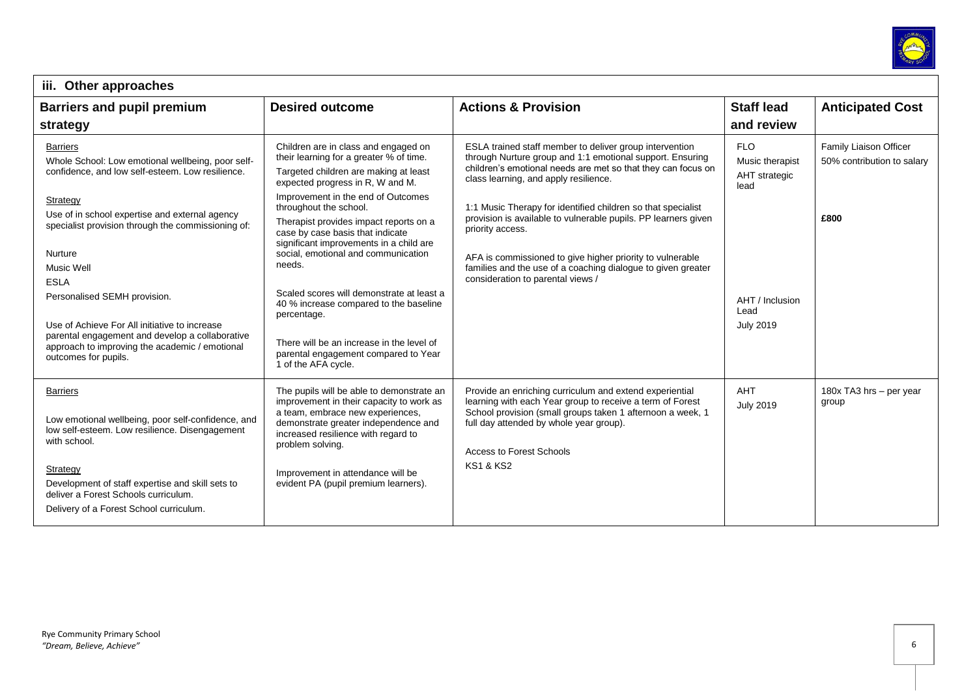

| iii. Other approaches                                                                                                                                                                                                                                                                                                                                                                                                                                                                              |                                                                                                                                                                                                                                                                                                                                                                                                                                                                                                                                                                                                                          |                                                                                                                                                                                                                                                                                                                                                                                                                                                                                                                                                       |                                                                                                       |                                                              |  |
|----------------------------------------------------------------------------------------------------------------------------------------------------------------------------------------------------------------------------------------------------------------------------------------------------------------------------------------------------------------------------------------------------------------------------------------------------------------------------------------------------|--------------------------------------------------------------------------------------------------------------------------------------------------------------------------------------------------------------------------------------------------------------------------------------------------------------------------------------------------------------------------------------------------------------------------------------------------------------------------------------------------------------------------------------------------------------------------------------------------------------------------|-------------------------------------------------------------------------------------------------------------------------------------------------------------------------------------------------------------------------------------------------------------------------------------------------------------------------------------------------------------------------------------------------------------------------------------------------------------------------------------------------------------------------------------------------------|-------------------------------------------------------------------------------------------------------|--------------------------------------------------------------|--|
| <b>Barriers and pupil premium</b><br>strategy                                                                                                                                                                                                                                                                                                                                                                                                                                                      | <b>Desired outcome</b>                                                                                                                                                                                                                                                                                                                                                                                                                                                                                                                                                                                                   | <b>Actions &amp; Provision</b>                                                                                                                                                                                                                                                                                                                                                                                                                                                                                                                        | <b>Staff lead</b><br>and review                                                                       | <b>Anticipated Cost</b>                                      |  |
| <b>Barriers</b><br>Whole School: Low emotional wellbeing, poor self-<br>confidence, and low self-esteem. Low resilience.<br>Strategy<br>Use of in school expertise and external agency<br>specialist provision through the commissioning of:<br>Nurture<br>Music Well<br><b>ESLA</b><br>Personalised SEMH provision.<br>Use of Achieve For All initiative to increase<br>parental engagement and develop a collaborative<br>approach to improving the academic / emotional<br>outcomes for pupils. | Children are in class and engaged on<br>their learning for a greater % of time.<br>Targeted children are making at least<br>expected progress in R, W and M.<br>Improvement in the end of Outcomes<br>throughout the school.<br>Therapist provides impact reports on a<br>case by case basis that indicate<br>significant improvements in a child are<br>social, emotional and communication<br>needs.<br>Scaled scores will demonstrate at least a<br>40 % increase compared to the baseline<br>percentage.<br>There will be an increase in the level of<br>parental engagement compared to Year<br>1 of the AFA cycle. | ESLA trained staff member to deliver group intervention<br>through Nurture group and 1:1 emotional support. Ensuring<br>children's emotional needs are met so that they can focus on<br>class learning, and apply resilience.<br>1:1 Music Therapy for identified children so that specialist<br>provision is available to vulnerable pupils. PP learners given<br>priority access.<br>AFA is commissioned to give higher priority to vulnerable<br>families and the use of a coaching dialogue to given greater<br>consideration to parental views / | <b>FLO</b><br>Music therapist<br>AHT strategic<br>lead<br>AHT / Inclusion<br>Lead<br><b>July 2019</b> | Family Liaison Officer<br>50% contribution to salary<br>£800 |  |
| <b>Barriers</b><br>Low emotional wellbeing, poor self-confidence, and<br>low self-esteem. Low resilience. Disengagement<br>with school.<br>Strategy<br>Development of staff expertise and skill sets to<br>deliver a Forest Schools curriculum.<br>Delivery of a Forest School curriculum.                                                                                                                                                                                                         | The pupils will be able to demonstrate an<br>improvement in their capacity to work as<br>a team, embrace new experiences,<br>demonstrate greater independence and<br>increased resilience with regard to<br>problem solving.<br>Improvement in attendance will be<br>evident PA (pupil premium learners).                                                                                                                                                                                                                                                                                                                | Provide an enriching curriculum and extend experiential<br>learning with each Year group to receive a term of Forest<br>School provision (small groups taken 1 afternoon a week, 1<br>full day attended by whole year group).<br><b>Access to Forest Schools</b><br><b>KS1 &amp; KS2</b>                                                                                                                                                                                                                                                              | AHT<br><b>July 2019</b>                                                                               | 180x TA3 hrs - per year<br>group                             |  |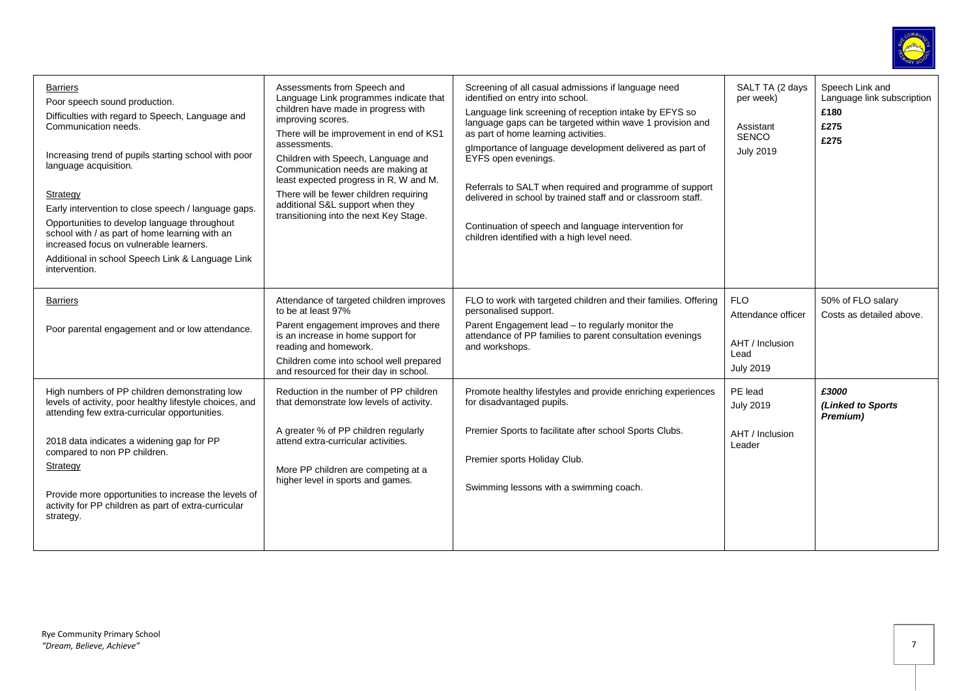

| <b>Barriers</b><br>Poor speech sound production.<br>Difficulties with regard to Speech, Language and<br>Communication needs.<br>Increasing trend of pupils starting school with poor<br>language acquisition.<br>Strategy<br>Early intervention to close speech / language gaps.<br>Opportunities to develop language throughout<br>school with / as part of home learning with an<br>increased focus on vulnerable learners.<br>Additional in school Speech Link & Language Link<br>intervention. | Assessments from Speech and<br>Language Link programmes indicate that<br>children have made in progress with<br>improving scores.<br>There will be improvement in end of KS1<br>assessments.<br>Children with Speech, Language and<br>Communication needs are making at<br>least expected progress in R, W and M.<br>There will be fewer children requiring<br>additional S&L support when they<br>transitioning into the next Key Stage. | Screening of all casual admissions if language need<br>identified on entry into school.<br>Language link screening of reception intake by EFYS so<br>language gaps can be targeted within wave 1 provision and<br>as part of home learning activities.<br>glmportance of language development delivered as part of<br>EYFS open evenings.<br>Referrals to SALT when required and programme of support<br>delivered in school by trained staff and or classroom staff.<br>Continuation of speech and language intervention for<br>children identified with a high level need. | SALT TA (2 days<br>per week)<br>Assistant<br><b>SENCO</b><br><b>July 2019</b>   | Speech Link and<br>Language link subscription<br>£180<br>£275<br>£275 |
|----------------------------------------------------------------------------------------------------------------------------------------------------------------------------------------------------------------------------------------------------------------------------------------------------------------------------------------------------------------------------------------------------------------------------------------------------------------------------------------------------|-------------------------------------------------------------------------------------------------------------------------------------------------------------------------------------------------------------------------------------------------------------------------------------------------------------------------------------------------------------------------------------------------------------------------------------------|------------------------------------------------------------------------------------------------------------------------------------------------------------------------------------------------------------------------------------------------------------------------------------------------------------------------------------------------------------------------------------------------------------------------------------------------------------------------------------------------------------------------------------------------------------------------------|---------------------------------------------------------------------------------|-----------------------------------------------------------------------|
| <b>Barriers</b><br>Poor parental engagement and or low attendance.                                                                                                                                                                                                                                                                                                                                                                                                                                 | Attendance of targeted children improves<br>to be at least 97%<br>Parent engagement improves and there<br>is an increase in home support for<br>reading and homework.<br>Children come into school well prepared<br>and resourced for their day in school.                                                                                                                                                                                | FLO to work with targeted children and their families. Offering<br>personalised support.<br>Parent Engagement lead - to regularly monitor the<br>attendance of PP families to parent consultation evenings<br>and workshops.                                                                                                                                                                                                                                                                                                                                                 | <b>FLO</b><br>Attendance officer<br>AHT / Inclusion<br>Lead<br><b>July 2019</b> | 50% of FLO salary<br>Costs as detailed above.                         |
| High numbers of PP children demonstrating low<br>levels of activity, poor healthy lifestyle choices, and<br>attending few extra-curricular opportunities.<br>2018 data indicates a widening gap for PP<br>compared to non PP children.<br>Strategy<br>Provide more opportunities to increase the levels of<br>activity for PP children as part of extra-curricular<br>strategy.                                                                                                                    | Reduction in the number of PP children<br>that demonstrate low levels of activity.<br>A greater % of PP children regularly<br>attend extra-curricular activities.<br>More PP children are competing at a<br>higher level in sports and games.                                                                                                                                                                                             | Promote healthy lifestyles and provide enriching experiences<br>for disadvantaged pupils.<br>Premier Sports to facilitate after school Sports Clubs.<br>Premier sports Holiday Club.<br>Swimming lessons with a swimming coach.                                                                                                                                                                                                                                                                                                                                              | PE lead<br><b>July 2019</b><br>AHT / Inclusion<br>Leader                        | £3000<br>(Linked to Sports<br>Premium)                                |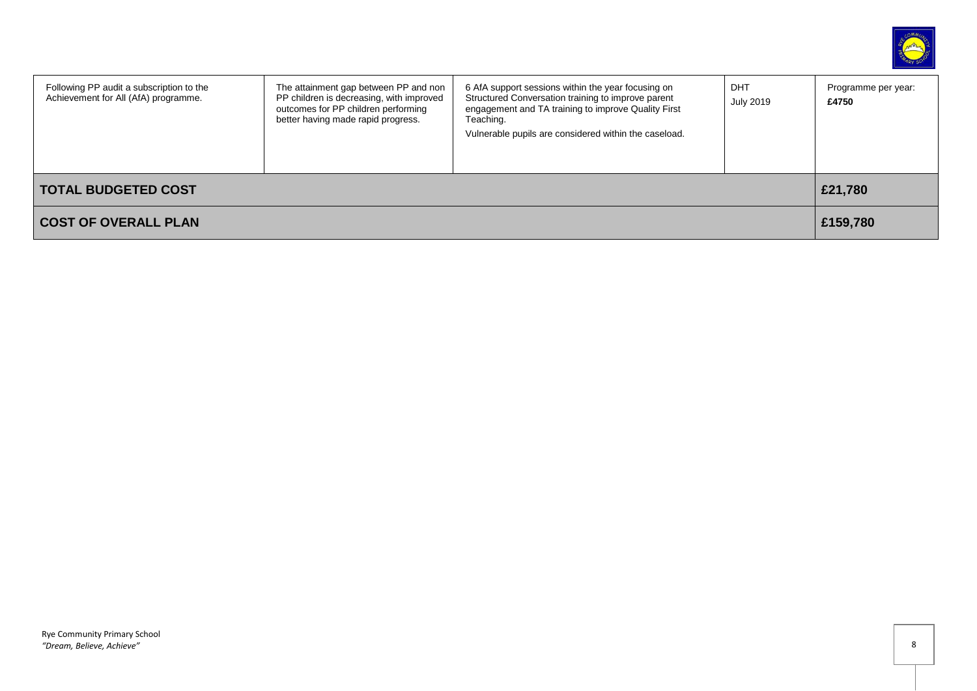

| Following PP audit a subscription to the<br>Achievement for All (AfA) programme. | The attainment gap between PP and non<br>PP children is decreasing, with improved<br>outcomes for PP children performing<br>better having made rapid progress. | 6 AfA support sessions within the year focusing on<br>Structured Conversation training to improve parent<br>engagement and TA training to improve Quality First<br>Teaching.<br>Vulnerable pupils are considered within the caseload. | DHT<br><b>July 2019</b> | Programme per year:<br>£4750 |
|----------------------------------------------------------------------------------|----------------------------------------------------------------------------------------------------------------------------------------------------------------|---------------------------------------------------------------------------------------------------------------------------------------------------------------------------------------------------------------------------------------|-------------------------|------------------------------|
| <b>TOTAL BUDGETED COST</b>                                                       |                                                                                                                                                                |                                                                                                                                                                                                                                       |                         | £21,780                      |
| <b>COST OF OVERALL PLAN</b>                                                      |                                                                                                                                                                |                                                                                                                                                                                                                                       |                         | £159,780                     |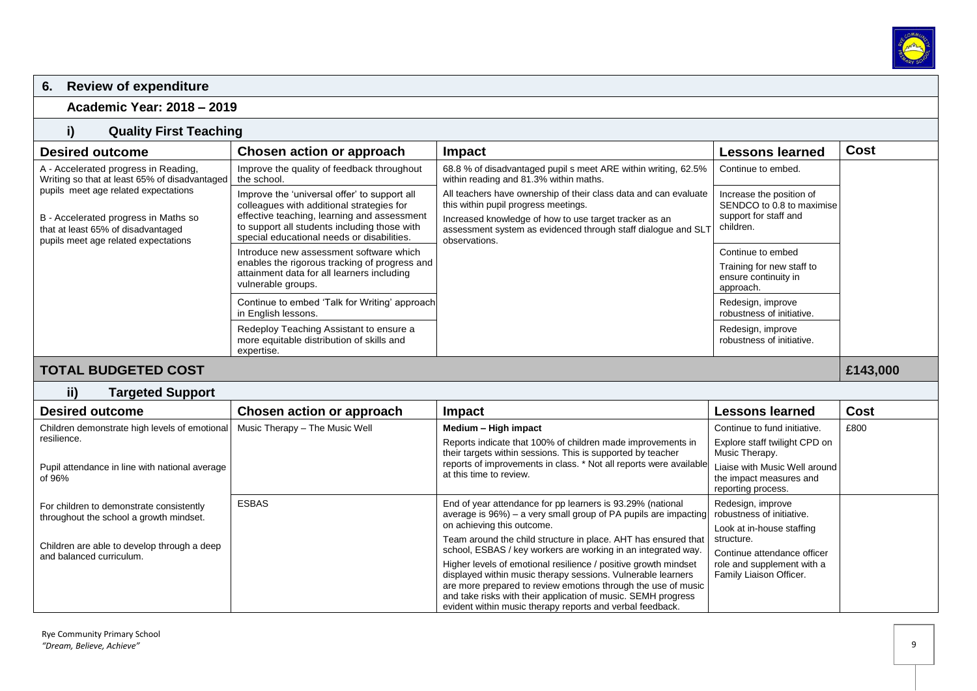

# **6. Review of expenditure**

**Academic Year: 2018 – 2019**

## **i) Quality First Teaching**

| <b>Desired outcome</b>                                                                                                                                                                                                                              | Chosen action or approach                                                                                                                                                                                  | Impact                                                                                                                                                                                                                              | Lessons learned                                                                             | <b>Cost</b> |
|-----------------------------------------------------------------------------------------------------------------------------------------------------------------------------------------------------------------------------------------------------|------------------------------------------------------------------------------------------------------------------------------------------------------------------------------------------------------------|-------------------------------------------------------------------------------------------------------------------------------------------------------------------------------------------------------------------------------------|---------------------------------------------------------------------------------------------|-------------|
| A - Accelerated progress in Reading,<br>Writing so that at least 65% of disadvantaged<br>pupils meet age related expectations<br>B - Accelerated progress in Maths so<br>that at least 65% of disadvantaged<br>pupils meet age related expectations | Improve the quality of feedback throughout<br>the school.                                                                                                                                                  | 68.8 % of disadvantaged pupil s meet ARE within writing, 62.5%<br>within reading and 81.3% within maths.                                                                                                                            | Continue to embed.                                                                          |             |
|                                                                                                                                                                                                                                                     | Improve the 'universal offer' to support all<br>colleagues with additional strategies for<br>effective teaching, learning and assessment<br>to support all students including those with                   | All teachers have ownership of their class data and can evaluate<br>this within pupil progress meetings.<br>Increased knowledge of how to use target tracker as an<br>assessment system as evidenced through staff dialogue and SLT | Increase the position of<br>SENDCO to 0.8 to maximise<br>support for staff and<br>children. |             |
|                                                                                                                                                                                                                                                     | special educational needs or disabilities.<br>Introduce new assessment software which<br>enables the rigorous tracking of progress and<br>attainment data for all learners including<br>vulnerable groups. | observations.                                                                                                                                                                                                                       | Continue to embed<br>Training for new staff to<br>ensure continuity in<br>approach.         |             |
|                                                                                                                                                                                                                                                     | Continue to embed 'Talk for Writing' approach<br>in English lessons.                                                                                                                                       |                                                                                                                                                                                                                                     | Redesign, improve<br>robustness of initiative.                                              |             |
|                                                                                                                                                                                                                                                     | Redeploy Teaching Assistant to ensure a<br>more equitable distribution of skills and<br>expertise.                                                                                                         |                                                                                                                                                                                                                                     | Redesign, improve<br>robustness of initiative.                                              |             |
| <b>TOTAL BUDGETED COST</b>                                                                                                                                                                                                                          |                                                                                                                                                                                                            |                                                                                                                                                                                                                                     |                                                                                             | £143,000    |

**ii) Targeted Support**

| <b>Desired outcome</b>                                   | Chosen action or approach      | Impact                                                                                                                          | Lessons learned                                                                | Cost |
|----------------------------------------------------------|--------------------------------|---------------------------------------------------------------------------------------------------------------------------------|--------------------------------------------------------------------------------|------|
| Children demonstrate high levels of emotional            | Music Therapy - The Music Well | Medium - High impact                                                                                                            | Continue to fund initiative.                                                   | £800 |
| resilience.                                              |                                | Reports indicate that 100% of children made improvements in<br>their targets within sessions. This is supported by teacher      | Explore staff twilight CPD on<br>Music Therapy.                                |      |
| Pupil attendance in line with national average<br>of 96% |                                | reports of improvements in class. * Not all reports were available<br>at this time to review.                                   | Liaise with Music Well around<br>the impact measures and<br>reporting process. |      |
| For children to demonstrate consistently                 | <b>ESBAS</b>                   | End of year attendance for pp learners is 93.29% (national<br>average is 96%) – a very small group of PA pupils are impacting   | Redesign, improve<br>robustness of initiative.                                 |      |
| throughout the school a growth mindset.                  |                                | on achieving this outcome.                                                                                                      | Look at in-house staffing                                                      |      |
| Children are able to develop through a deep              |                                | Team around the child structure in place. AHT has ensured that                                                                  | structure.                                                                     |      |
| and balanced curriculum.                                 |                                | school, ESBAS / key workers are working in an integrated way.                                                                   | Continue attendance officer                                                    |      |
|                                                          |                                | Higher levels of emotional resilience / positive growth mindset<br>displayed within music therapy sessions. Vulnerable learners | role and supplement with a<br>Family Liaison Officer.                          |      |
|                                                          |                                | are more prepared to review emotions through the use of music<br>and take risks with their application of music. SEMH progress  |                                                                                |      |
|                                                          |                                | evident within music therapy reports and verbal feedback.                                                                       |                                                                                |      |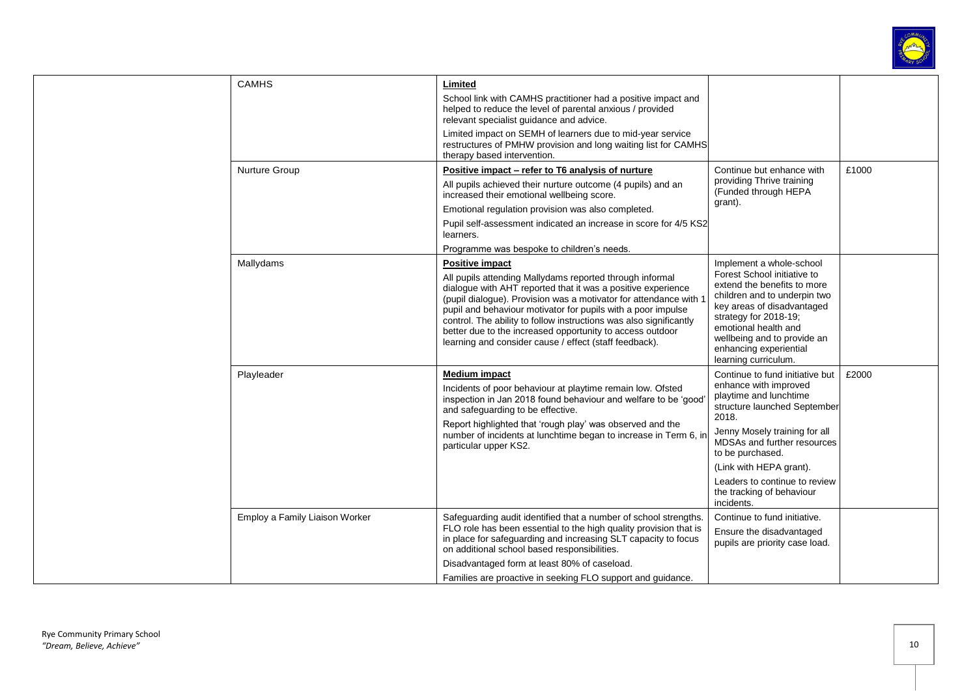

|  | <b>CAMHS</b>                   | Limited<br>School link with CAMHS practitioner had a positive impact and<br>helped to reduce the level of parental anxious / provided<br>relevant specialist quidance and advice.<br>Limited impact on SEMH of learners due to mid-year service                                                                                                                                                                                                                                    |                                                                                                                                                                                                                                                                                                                        |       |
|--|--------------------------------|------------------------------------------------------------------------------------------------------------------------------------------------------------------------------------------------------------------------------------------------------------------------------------------------------------------------------------------------------------------------------------------------------------------------------------------------------------------------------------|------------------------------------------------------------------------------------------------------------------------------------------------------------------------------------------------------------------------------------------------------------------------------------------------------------------------|-------|
|  |                                | restructures of PMHW provision and long waiting list for CAMHS<br>therapy based intervention.                                                                                                                                                                                                                                                                                                                                                                                      |                                                                                                                                                                                                                                                                                                                        |       |
|  | Nurture Group                  | Positive impact – refer to T6 analysis of nurture<br>All pupils achieved their nurture outcome (4 pupils) and an<br>increased their emotional wellbeing score.<br>Emotional regulation provision was also completed.<br>Pupil self-assessment indicated an increase in score for 4/5 KS2<br>learners.                                                                                                                                                                              | Continue but enhance with<br>providing Thrive training<br>(Funded through HEPA<br>grant).                                                                                                                                                                                                                              | £1000 |
|  |                                | Programme was bespoke to children's needs.                                                                                                                                                                                                                                                                                                                                                                                                                                         |                                                                                                                                                                                                                                                                                                                        |       |
|  | Mallydams                      | <b>Positive impact</b><br>All pupils attending Mallydams reported through informal<br>dialogue with AHT reported that it was a positive experience<br>(pupil dialogue). Provision was a motivator for attendance with<br>pupil and behaviour motivator for pupils with a poor impulse<br>control. The ability to follow instructions was also significantly<br>better due to the increased opportunity to access outdoor<br>learning and consider cause / effect (staff feedback). | Implement a whole-school<br>Forest School initiative to<br>extend the benefits to more<br>children and to underpin two<br>key areas of disadvantaged<br>strategy for 2018-19;<br>emotional health and<br>wellbeing and to provide an<br>enhancing experiential<br>learning curriculum.                                 |       |
|  | Playleader                     | Medium impact<br>Incidents of poor behaviour at playtime remain low. Ofsted<br>inspection in Jan 2018 found behaviour and welfare to be 'good<br>and safeguarding to be effective.<br>Report highlighted that 'rough play' was observed and the<br>number of incidents at lunchtime began to increase in Term 6, in<br>particular upper KS2.                                                                                                                                       | Continue to fund initiative but<br>enhance with improved<br>playtime and lunchtime<br>structure launched September<br>2018.<br>Jenny Mosely training for all<br>MDSAs and further resources<br>to be purchased.<br>(Link with HEPA grant).<br>Leaders to continue to review<br>the tracking of behaviour<br>incidents. | £2000 |
|  | Employ a Family Liaison Worker | Safeguarding audit identified that a number of school strengths.<br>FLO role has been essential to the high quality provision that is<br>in place for safeguarding and increasing SLT capacity to focus<br>on additional school based responsibilities.<br>Disadvantaged form at least 80% of caseload.<br>Families are proactive in seeking FLO support and guidance.                                                                                                             | Continue to fund initiative.<br>Ensure the disadvantaged<br>pupils are priority case load.                                                                                                                                                                                                                             |       |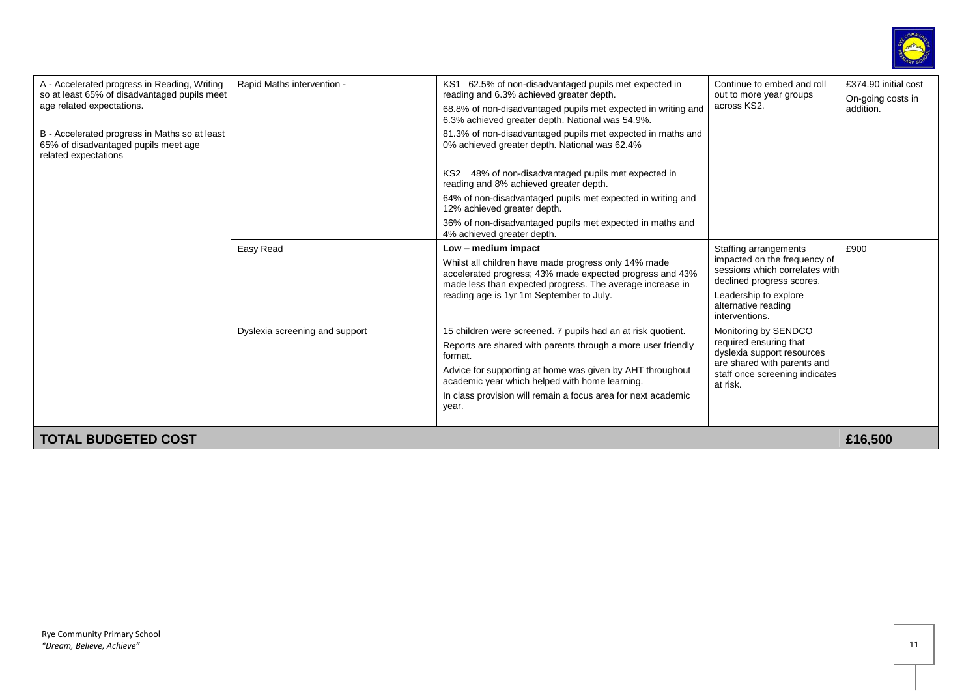

| A - Accelerated progress in Reading, Writing<br>so at least 65% of disadvantaged pupils meet<br>age related expectations.<br>B - Accelerated progress in Maths so at least<br>65% of disadvantaged pupils meet age<br>related expectations | Rapid Maths intervention -     | KS1 62.5% of non-disadvantaged pupils met expected in<br>reading and 6.3% achieved greater depth.<br>68.8% of non-disadvantaged pupils met expected in writing and<br>6.3% achieved greater depth. National was 54.9%.<br>81.3% of non-disadvantaged pupils met expected in maths and<br>0% achieved greater depth. National was 62.4%<br>KS2 48% of non-disadvantaged pupils met expected in<br>reading and 8% achieved greater depth.<br>64% of non-disadvantaged pupils met expected in writing and<br>12% achieved greater depth.<br>36% of non-disadvantaged pupils met expected in maths and<br>4% achieved greater depth. | Continue to embed and roll<br>out to more year groups<br>across KS2.                                                                                                                   | £374.90 initial cost<br>On-going costs in<br>addition. |
|--------------------------------------------------------------------------------------------------------------------------------------------------------------------------------------------------------------------------------------------|--------------------------------|----------------------------------------------------------------------------------------------------------------------------------------------------------------------------------------------------------------------------------------------------------------------------------------------------------------------------------------------------------------------------------------------------------------------------------------------------------------------------------------------------------------------------------------------------------------------------------------------------------------------------------|----------------------------------------------------------------------------------------------------------------------------------------------------------------------------------------|--------------------------------------------------------|
|                                                                                                                                                                                                                                            | Easy Read                      | Low - medium impact<br>Whilst all children have made progress only 14% made<br>accelerated progress; 43% made expected progress and 43%<br>made less than expected progress. The average increase in<br>reading age is 1yr 1m September to July.                                                                                                                                                                                                                                                                                                                                                                                 | Staffing arrangements<br>impacted on the frequency of<br>sessions which correlates with<br>declined progress scores.<br>Leadership to explore<br>alternative reading<br>interventions. | £900                                                   |
|                                                                                                                                                                                                                                            | Dyslexia screening and support | 15 children were screened. 7 pupils had an at risk quotient.<br>Reports are shared with parents through a more user friendly<br>format.<br>Advice for supporting at home was given by AHT throughout<br>academic year which helped with home learning.<br>In class provision will remain a focus area for next academic<br>year.                                                                                                                                                                                                                                                                                                 | Monitoring by SENDCO<br>required ensuring that<br>dyslexia support resources<br>are shared with parents and<br>staff once screening indicates<br>at risk.                              |                                                        |
| <b>TOTAL BUDGETED COST</b>                                                                                                                                                                                                                 |                                |                                                                                                                                                                                                                                                                                                                                                                                                                                                                                                                                                                                                                                  |                                                                                                                                                                                        | £16,500                                                |